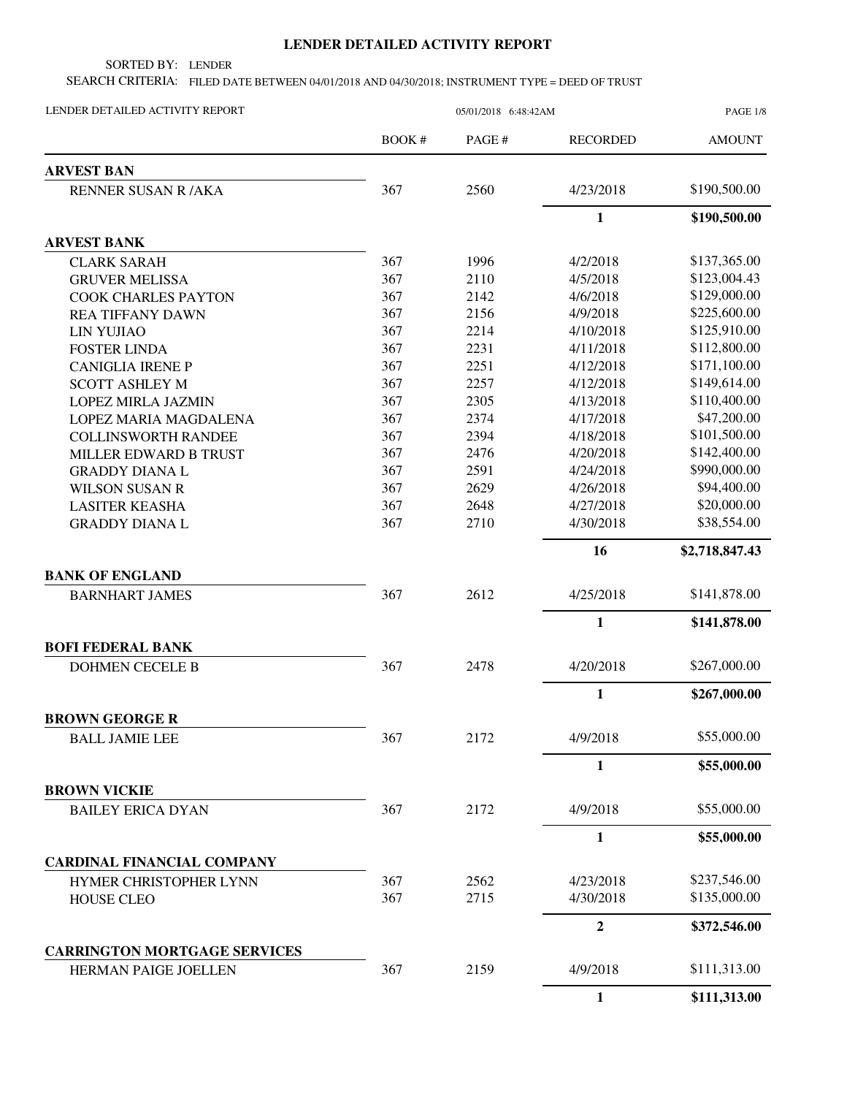## **LENDER DETAILED ACTIVITY REPORT**

SORTED BY: LENDER

SEARCH CRITERIA: FILED DATE BETWEEN 04/01/2018 AND 04/30/2018; INSTRUMENT TYPE = DEED OF TRUST

| LENDER DETAILED ACTIVITY REPORT     | 05/01/2018 6:48:42AM |        |                  | <b>PAGE 1/8</b> |  |
|-------------------------------------|----------------------|--------|------------------|-----------------|--|
|                                     | BOOK #               | PAGE # | <b>RECORDED</b>  | <b>AMOUNT</b>   |  |
| <b>ARVEST BAN</b>                   |                      |        |                  |                 |  |
| <b>RENNER SUSAN R/AKA</b>           | 367                  | 2560   | 4/23/2018        | \$190,500.00    |  |
|                                     |                      |        | 1                | \$190,500.00    |  |
| <b>ARVEST BANK</b>                  |                      |        |                  |                 |  |
| <b>CLARK SARAH</b>                  | 367                  | 1996   | 4/2/2018         | \$137,365.00    |  |
| <b>GRUVER MELISSA</b>               | 367                  | 2110   | 4/5/2018         | \$123,004.43    |  |
| <b>COOK CHARLES PAYTON</b>          | 367                  | 2142   | 4/6/2018         | \$129,000.00    |  |
| <b>REA TIFFANY DAWN</b>             | 367                  | 2156   | 4/9/2018         | \$225,600.00    |  |
| <b>LIN YUJIAO</b>                   | 367                  | 2214   | 4/10/2018        | \$125,910.00    |  |
| <b>FOSTER LINDA</b>                 | 367                  | 2231   | 4/11/2018        | \$112,800.00    |  |
| <b>CANIGLIA IRENE P</b>             | 367                  | 2251   | 4/12/2018        | \$171,100.00    |  |
| <b>SCOTT ASHLEY M</b>               | 367                  | 2257   | 4/12/2018        | \$149,614.00    |  |
| <b>LOPEZ MIRLA JAZMIN</b>           | 367                  | 2305   | 4/13/2018        | \$110,400.00    |  |
| LOPEZ MARIA MAGDALENA               | 367                  | 2374   | 4/17/2018        | \$47,200.00     |  |
| <b>COLLINSWORTH RANDEE</b>          | 367                  | 2394   | 4/18/2018        | \$101,500.00    |  |
| MILLER EDWARD B TRUST               | 367                  | 2476   | 4/20/2018        | \$142,400.00    |  |
| <b>GRADDY DIANAL</b>                | 367                  | 2591   | 4/24/2018        | \$990,000.00    |  |
| <b>WILSON SUSAN R</b>               | 367                  | 2629   | 4/26/2018        | \$94,400.00     |  |
| <b>LASITER KEASHA</b>               | 367                  | 2648   | 4/27/2018        | \$20,000.00     |  |
| <b>GRADDY DIANAL</b>                | 367                  | 2710   | 4/30/2018        | \$38,554.00     |  |
|                                     |                      |        | 16               | \$2,718,847.43  |  |
| <b>BANK OF ENGLAND</b>              |                      |        |                  |                 |  |
| <b>BARNHART JAMES</b>               | 367                  | 2612   | 4/25/2018        | \$141,878.00    |  |
|                                     |                      |        | 1                | \$141,878.00    |  |
| <b>BOFI FEDERAL BANK</b>            |                      |        |                  |                 |  |
| <b>DOHMEN CECELE B</b>              | 367                  | 2478   | 4/20/2018        | \$267,000.00    |  |
|                                     |                      |        | 1                | \$267,000.00    |  |
| <b>BROWN GEORGE R</b>               |                      |        |                  |                 |  |
| <b>BALL JAMIE LEE</b>               | 367                  | 2172   | 4/9/2018         | \$55,000.00     |  |
|                                     |                      |        | 1                | \$55,000.00     |  |
| <b>BROWN VICKIE</b>                 |                      |        |                  |                 |  |
| <b>BAILEY ERICA DYAN</b>            | 367                  | 2172   | 4/9/2018         | \$55,000.00     |  |
|                                     |                      |        | 1                | \$55,000.00     |  |
| <b>CARDINAL FINANCIAL COMPANY</b>   |                      |        |                  |                 |  |
| HYMER CHRISTOPHER LYNN              | 367                  | 2562   | 4/23/2018        | \$237,546.00    |  |
| HOUSE CLEO                          | 367                  | 2715   | 4/30/2018        | \$135,000.00    |  |
|                                     |                      |        | $\boldsymbol{2}$ | \$372,546.00    |  |
| <b>CARRINGTON MORTGAGE SERVICES</b> |                      |        |                  |                 |  |
| HERMAN PAIGE JOELLEN                | 367                  | 2159   | 4/9/2018         | \$111,313.00    |  |
|                                     |                      |        | $\mathbf{1}$     | \$111,313.00    |  |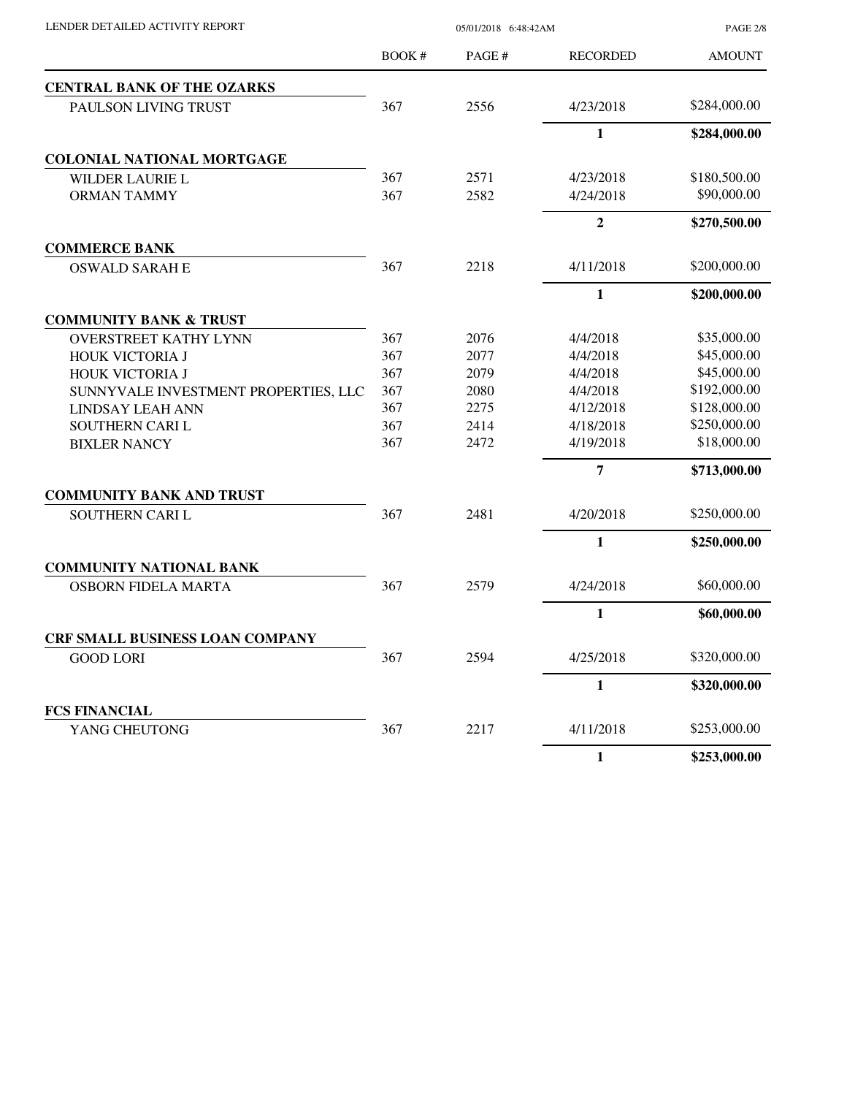LENDER DETAILED ACTIVITY REPORT 05/01/2018 6:48:42AM

PAGE 2/8

|                                        | <b>BOOK#</b> | PAGE# | <b>RECORDED</b> | <b>AMOUNT</b> |
|----------------------------------------|--------------|-------|-----------------|---------------|
| <b>CENTRAL BANK OF THE OZARKS</b>      |              |       |                 |               |
| <b>PAULSON LIVING TRUST</b>            | 367          | 2556  | 4/23/2018       | \$284,000.00  |
|                                        |              |       | $\mathbf{1}$    | \$284,000.00  |
| <b>COLONIAL NATIONAL MORTGAGE</b>      |              |       |                 |               |
| <b>WILDER LAURIE L</b>                 | 367          | 2571  | 4/23/2018       | \$180,500.00  |
| <b>ORMAN TAMMY</b>                     | 367          | 2582  | 4/24/2018       | \$90,000.00   |
|                                        |              |       | $\overline{2}$  | \$270,500.00  |
| <b>COMMERCE BANK</b>                   |              |       |                 |               |
| <b>OSWALD SARAH E</b>                  | 367          | 2218  | 4/11/2018       | \$200,000.00  |
|                                        |              |       | $\mathbf{1}$    | \$200,000.00  |
| <b>COMMUNITY BANK &amp; TRUST</b>      |              |       |                 |               |
| <b>OVERSTREET KATHY LYNN</b>           | 367          | 2076  | 4/4/2018        | \$35,000.00   |
| HOUK VICTORIA J                        | 367          | 2077  | 4/4/2018        | \$45,000.00   |
| HOUK VICTORIA J                        | 367          | 2079  | 4/4/2018        | \$45,000.00   |
| SUNNYVALE INVESTMENT PROPERTIES, LLC   | 367          | 2080  | 4/4/2018        | \$192,000.00  |
| LINDSAY LEAH ANN                       | 367          | 2275  | 4/12/2018       | \$128,000.00  |
| SOUTHERN CARI L                        | 367          | 2414  | 4/18/2018       | \$250,000.00  |
| <b>BIXLER NANCY</b>                    | 367          | 2472  | 4/19/2018       | \$18,000.00   |
|                                        |              |       | 7               | \$713,000.00  |
| <b>COMMUNITY BANK AND TRUST</b>        |              |       |                 |               |
| SOUTHERN CARI L                        | 367          | 2481  | 4/20/2018       | \$250,000.00  |
|                                        |              |       | $\mathbf{1}$    | \$250,000.00  |
| <b>COMMUNITY NATIONAL BANK</b>         |              |       |                 |               |
| <b>OSBORN FIDELA MARTA</b>             | 367          | 2579  | 4/24/2018       | \$60,000.00   |
|                                        |              |       | $\mathbf{1}$    | \$60,000.00   |
| <b>CRF SMALL BUSINESS LOAN COMPANY</b> |              |       |                 |               |
| <b>GOOD LORI</b>                       | 367          | 2594  | 4/25/2018       | \$320,000.00  |
|                                        |              |       | $\mathbf{1}$    | \$320,000.00  |
| <b>FCS FINANCIAL</b>                   |              |       |                 |               |
| YANG CHEUTONG                          | 367          | 2217  | 4/11/2018       | \$253,000.00  |
|                                        |              |       | $\mathbf{1}$    | \$253,000.00  |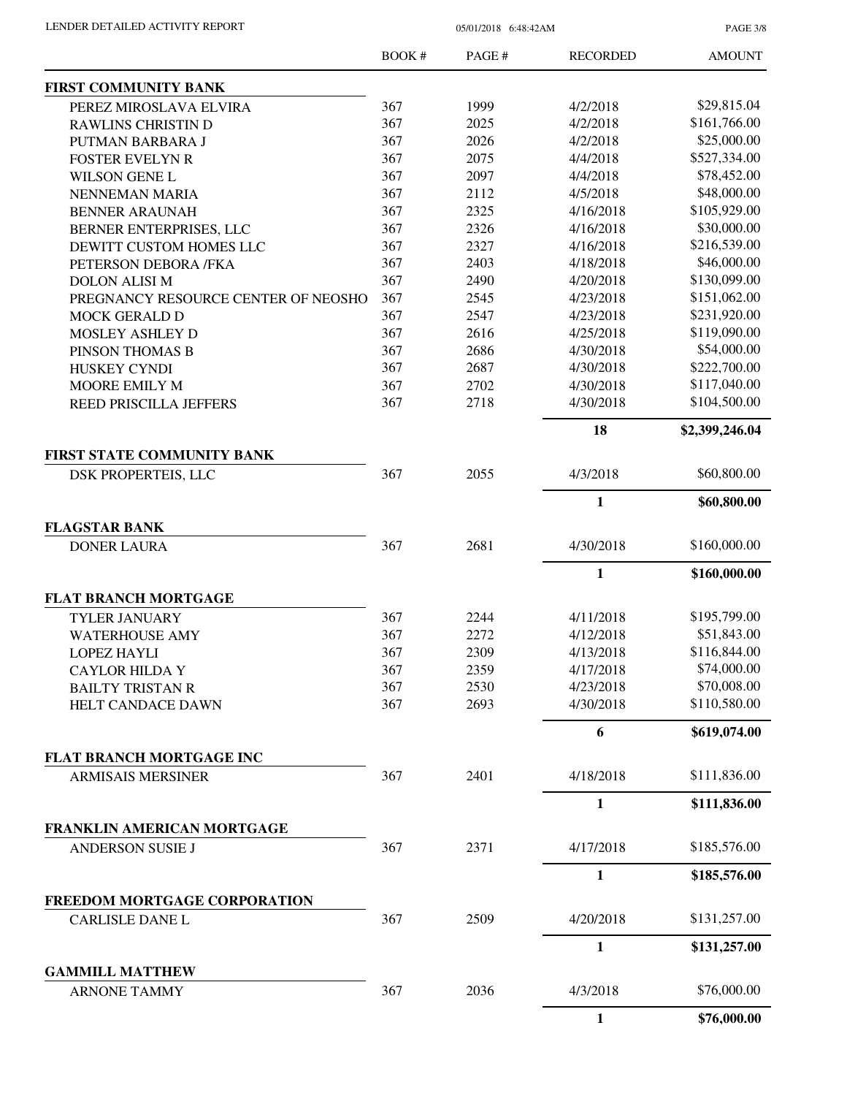PAGE 3/8

|                                                        | <b>BOOK#</b> | PAGE# | <b>RECORDED</b> | <b>AMOUNT</b>  |
|--------------------------------------------------------|--------------|-------|-----------------|----------------|
| <b>FIRST COMMUNITY BANK</b>                            |              |       |                 |                |
| PEREZ MIROSLAVA ELVIRA                                 | 367          | 1999  | 4/2/2018        | \$29,815.04    |
| <b>RAWLINS CHRISTIN D</b>                              | 367          | 2025  | 4/2/2018        | \$161,766.00   |
| PUTMAN BARBARA J                                       | 367          | 2026  | 4/2/2018        | \$25,000.00    |
| FOSTER EVELYN R                                        | 367          | 2075  | 4/4/2018        | \$527,334.00   |
| <b>WILSON GENE L</b>                                   | 367          | 2097  | 4/4/2018        | \$78,452.00    |
| NENNEMAN MARIA                                         | 367          | 2112  | 4/5/2018        | \$48,000.00    |
| <b>BENNER ARAUNAH</b>                                  | 367          | 2325  | 4/16/2018       | \$105,929.00   |
| BERNER ENTERPRISES, LLC                                | 367          | 2326  | 4/16/2018       | \$30,000.00    |
| DEWITT CUSTOM HOMES LLC                                | 367          | 2327  | 4/16/2018       | \$216,539.00   |
| PETERSON DEBORA /FKA                                   | 367          | 2403  | 4/18/2018       | \$46,000.00    |
| <b>DOLON ALISI M</b>                                   | 367          | 2490  | 4/20/2018       | \$130,099.00   |
| PREGNANCY RESOURCE CENTER OF NEOSHO                    | 367          | 2545  | 4/23/2018       | \$151,062.00   |
| MOCK GERALD D                                          | 367          | 2547  | 4/23/2018       | \$231,920.00   |
| MOSLEY ASHLEY D                                        | 367          | 2616  | 4/25/2018       | \$119,090.00   |
| PINSON THOMAS B                                        | 367          | 2686  | 4/30/2018       | \$54,000.00    |
| HUSKEY CYNDI                                           | 367          | 2687  | 4/30/2018       | \$222,700.00   |
| MOORE EMILY M                                          | 367          | 2702  | 4/30/2018       | \$117,040.00   |
| REED PRISCILLA JEFFERS                                 | 367          | 2718  | 4/30/2018       | \$104,500.00   |
|                                                        |              |       |                 |                |
|                                                        |              |       | 18              | \$2,399,246.04 |
| FIRST STATE COMMUNITY BANK                             |              |       |                 |                |
| DSK PROPERTEIS, LLC                                    | 367          | 2055  | 4/3/2018        | \$60,800.00    |
|                                                        |              |       | $\mathbf{1}$    | \$60,800.00    |
| <b>FLAGSTAR BANK</b>                                   |              |       |                 |                |
| <b>DONER LAURA</b>                                     | 367          | 2681  | 4/30/2018       | \$160,000.00   |
|                                                        |              |       | 1               | \$160,000.00   |
| <b>FLAT BRANCH MORTGAGE</b>                            |              |       |                 |                |
| <b>TYLER JANUARY</b>                                   | 367          | 2244  | 4/11/2018       | \$195,799.00   |
| <b>WATERHOUSE AMY</b>                                  | 367          | 2272  | 4/12/2018       | \$51,843.00    |
| <b>LOPEZ HAYLI</b>                                     | 367          | 2309  | 4/13/2018       | \$116,844.00   |
| <b>CAYLOR HILDA Y</b>                                  | 367          | 2359  | 4/17/2018       | \$74,000.00    |
| <b>BAILTY TRISTAN R</b>                                | 367          | 2530  | 4/23/2018       | \$70,008.00    |
| HELT CANDACE DAWN                                      | 367          | 2693  | 4/30/2018       | \$110,580.00   |
|                                                        |              |       | 6               | \$619,074.00   |
| <b>FLAT BRANCH MORTGAGE INC</b>                        |              |       |                 |                |
| <b>ARMISAIS MERSINER</b>                               | 367          | 2401  | 4/18/2018       | \$111,836.00   |
|                                                        |              |       | 1               | \$111,836.00   |
| FRANKLIN AMERICAN MORTGAGE                             |              |       |                 |                |
| <b>ANDERSON SUSIE J</b>                                | 367          | 2371  | 4/17/2018       | \$185,576.00   |
|                                                        |              |       | $\mathbf{1}$    | \$185,576.00   |
|                                                        |              |       |                 |                |
| FREEDOM MORTGAGE CORPORATION<br><b>CARLISLE DANE L</b> | 367          | 2509  | 4/20/2018       | \$131,257.00   |
|                                                        |              |       | $\mathbf{1}$    |                |
|                                                        |              |       |                 | \$131,257.00   |
| <b>GAMMILL MATTHEW</b><br><b>ARNONE TAMMY</b>          | 367          | 2036  | 4/3/2018        | \$76,000.00    |
|                                                        |              |       |                 |                |
|                                                        |              |       | $\mathbf{1}$    | \$76,000.00    |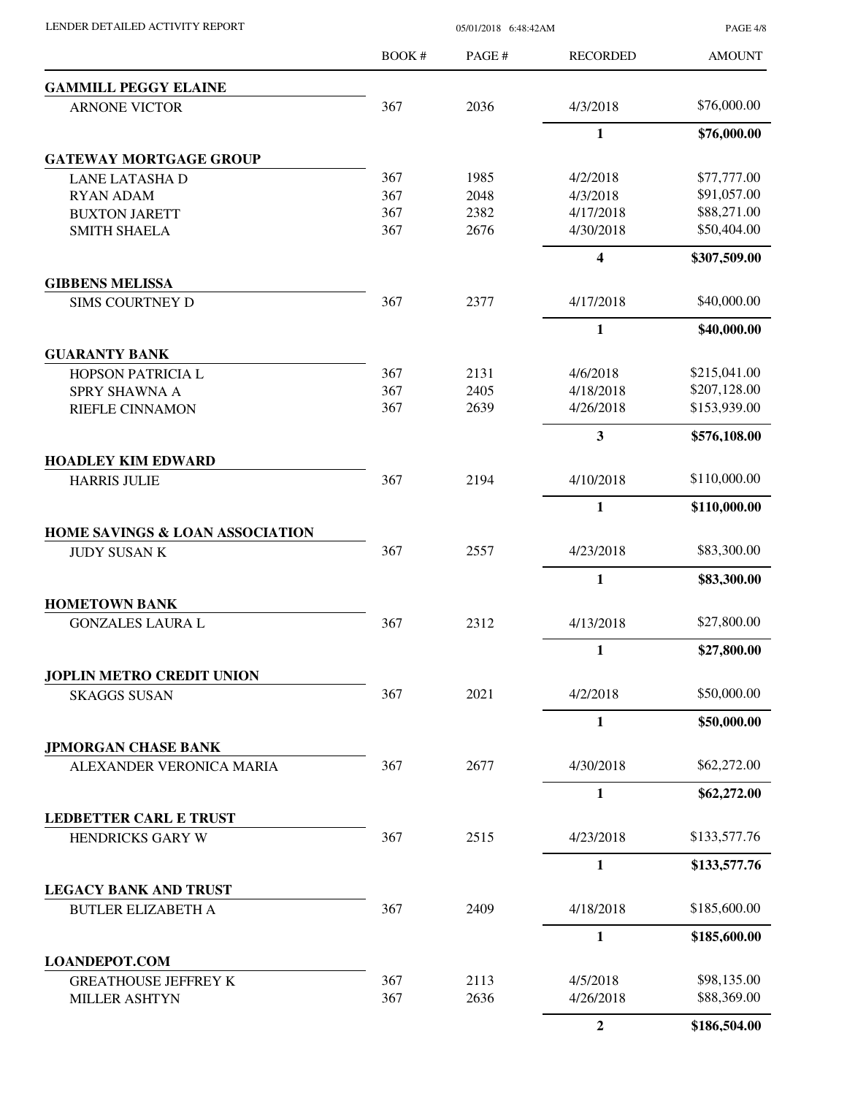|                                                                                                                                                                                                                                                                                                                                                                                                                                                                                                                                                                                                                                                                                                                                                                                                                          | BOOK # | PAGE #       | <b>RECORDED</b>         | <b>AMOUNT</b> |
|--------------------------------------------------------------------------------------------------------------------------------------------------------------------------------------------------------------------------------------------------------------------------------------------------------------------------------------------------------------------------------------------------------------------------------------------------------------------------------------------------------------------------------------------------------------------------------------------------------------------------------------------------------------------------------------------------------------------------------------------------------------------------------------------------------------------------|--------|--------------|-------------------------|---------------|
|                                                                                                                                                                                                                                                                                                                                                                                                                                                                                                                                                                                                                                                                                                                                                                                                                          |        |              |                         |               |
| <b>ARNONE VICTOR</b>                                                                                                                                                                                                                                                                                                                                                                                                                                                                                                                                                                                                                                                                                                                                                                                                     | 367    | 2036         | 4/3/2018                | \$76,000.00   |
|                                                                                                                                                                                                                                                                                                                                                                                                                                                                                                                                                                                                                                                                                                                                                                                                                          |        |              | 1                       | \$76,000.00   |
| <b>GATEWAY MORTGAGE GROUP</b>                                                                                                                                                                                                                                                                                                                                                                                                                                                                                                                                                                                                                                                                                                                                                                                            |        |              |                         |               |
| <b>LANE LATASHA D</b>                                                                                                                                                                                                                                                                                                                                                                                                                                                                                                                                                                                                                                                                                                                                                                                                    | 367    | 1985         | 4/2/2018                | \$77,777.00   |
| <b>RYAN ADAM</b>                                                                                                                                                                                                                                                                                                                                                                                                                                                                                                                                                                                                                                                                                                                                                                                                         | 367    | 2048         | 4/3/2018                | \$91,057.00   |
| <b>BUXTON JARETT</b>                                                                                                                                                                                                                                                                                                                                                                                                                                                                                                                                                                                                                                                                                                                                                                                                     | 367    | 2382         | 4/17/2018               | \$88,271.00   |
| <b>SMITH SHAELA</b>                                                                                                                                                                                                                                                                                                                                                                                                                                                                                                                                                                                                                                                                                                                                                                                                      |        |              | 4/30/2018               | \$50,404.00   |
|                                                                                                                                                                                                                                                                                                                                                                                                                                                                                                                                                                                                                                                                                                                                                                                                                          |        |              | $\overline{\mathbf{4}}$ | \$307,509.00  |
| <b>GIBBENS MELISSA</b>                                                                                                                                                                                                                                                                                                                                                                                                                                                                                                                                                                                                                                                                                                                                                                                                   |        |              |                         | \$40,000.00   |
|                                                                                                                                                                                                                                                                                                                                                                                                                                                                                                                                                                                                                                                                                                                                                                                                                          |        |              |                         | \$40,000.00   |
| <b>GUARANTY BANK</b>                                                                                                                                                                                                                                                                                                                                                                                                                                                                                                                                                                                                                                                                                                                                                                                                     |        |              |                         |               |
| <b>GAMMILL PEGGY ELAINE</b><br>367<br>2676<br>367<br>2377<br>4/17/2018<br><b>SIMS COURTNEY D</b><br>$\mathbf{1}$<br>367<br>2131<br>4/6/2018<br>HOPSON PATRICIA L<br>367<br>2405<br>4/18/2018<br>SPRY SHAWNA A<br>RIEFLE CINNAMON<br>367<br>2639<br>4/26/2018<br>3<br>367<br>2194<br>4/10/2018<br><b>HARRIS JULIE</b><br>$\mathbf{1}$<br><b>HOME SAVINGS &amp; LOAN ASSOCIATION</b><br>367<br>2557<br>4/23/2018<br><b>JUDY SUSAN K</b><br>1<br><b>HOMETOWN BANK</b><br>367<br>2312<br>4/13/2018<br><b>GONZALES LAURA L</b><br>$\mathbf{1}$<br><b>JOPLIN METRO CREDIT UNION</b><br>2021<br>367<br>4/2/2018<br><b>SKAGGS SUSAN</b><br>$\mathbf{1}$<br>367<br>2677<br>4/30/2018<br>ALEXANDER VERONICA MARIA<br>$\mathbf{1}$<br><b>LEDBETTER CARL E TRUST</b><br>367<br>2515<br>HENDRICKS GARY W<br>4/23/2018<br>$\mathbf{1}$ |        | \$215,041.00 |                         |               |
|                                                                                                                                                                                                                                                                                                                                                                                                                                                                                                                                                                                                                                                                                                                                                                                                                          |        |              |                         | \$207,128.00  |
|                                                                                                                                                                                                                                                                                                                                                                                                                                                                                                                                                                                                                                                                                                                                                                                                                          |        |              |                         | \$153,939.00  |
|                                                                                                                                                                                                                                                                                                                                                                                                                                                                                                                                                                                                                                                                                                                                                                                                                          |        |              |                         | \$576,108.00  |
| <b>HOADLEY KIM EDWARD</b>                                                                                                                                                                                                                                                                                                                                                                                                                                                                                                                                                                                                                                                                                                                                                                                                |        |              |                         |               |
|                                                                                                                                                                                                                                                                                                                                                                                                                                                                                                                                                                                                                                                                                                                                                                                                                          |        |              |                         | \$110,000.00  |
|                                                                                                                                                                                                                                                                                                                                                                                                                                                                                                                                                                                                                                                                                                                                                                                                                          |        |              |                         | \$110,000.00  |
|                                                                                                                                                                                                                                                                                                                                                                                                                                                                                                                                                                                                                                                                                                                                                                                                                          |        |              |                         |               |
|                                                                                                                                                                                                                                                                                                                                                                                                                                                                                                                                                                                                                                                                                                                                                                                                                          |        |              |                         | \$83,300.00   |
|                                                                                                                                                                                                                                                                                                                                                                                                                                                                                                                                                                                                                                                                                                                                                                                                                          |        |              |                         | \$83,300.00   |
|                                                                                                                                                                                                                                                                                                                                                                                                                                                                                                                                                                                                                                                                                                                                                                                                                          |        |              |                         | \$27,800.00   |
|                                                                                                                                                                                                                                                                                                                                                                                                                                                                                                                                                                                                                                                                                                                                                                                                                          |        |              |                         | \$27,800.00   |
|                                                                                                                                                                                                                                                                                                                                                                                                                                                                                                                                                                                                                                                                                                                                                                                                                          |        |              |                         |               |
|                                                                                                                                                                                                                                                                                                                                                                                                                                                                                                                                                                                                                                                                                                                                                                                                                          |        |              |                         | \$50,000.00   |
|                                                                                                                                                                                                                                                                                                                                                                                                                                                                                                                                                                                                                                                                                                                                                                                                                          |        |              |                         | \$50,000.00   |
| <b>JPMORGAN CHASE BANK</b>                                                                                                                                                                                                                                                                                                                                                                                                                                                                                                                                                                                                                                                                                                                                                                                               |        |              |                         |               |
|                                                                                                                                                                                                                                                                                                                                                                                                                                                                                                                                                                                                                                                                                                                                                                                                                          |        |              |                         | \$62,272.00   |
|                                                                                                                                                                                                                                                                                                                                                                                                                                                                                                                                                                                                                                                                                                                                                                                                                          |        |              |                         | \$62,272.00   |
|                                                                                                                                                                                                                                                                                                                                                                                                                                                                                                                                                                                                                                                                                                                                                                                                                          |        |              |                         |               |
|                                                                                                                                                                                                                                                                                                                                                                                                                                                                                                                                                                                                                                                                                                                                                                                                                          |        |              |                         | \$133,577.76  |
|                                                                                                                                                                                                                                                                                                                                                                                                                                                                                                                                                                                                                                                                                                                                                                                                                          |        |              |                         | \$133,577.76  |
| <b>LEGACY BANK AND TRUST</b><br><b>BUTLER ELIZABETH A</b>                                                                                                                                                                                                                                                                                                                                                                                                                                                                                                                                                                                                                                                                                                                                                                | 367    | 2409         | 4/18/2018               | \$185,600.00  |
|                                                                                                                                                                                                                                                                                                                                                                                                                                                                                                                                                                                                                                                                                                                                                                                                                          |        |              | 1                       | \$185,600.00  |
| <b>LOANDEPOT.COM</b>                                                                                                                                                                                                                                                                                                                                                                                                                                                                                                                                                                                                                                                                                                                                                                                                     |        |              |                         |               |
| <b>GREATHOUSE JEFFREY K</b>                                                                                                                                                                                                                                                                                                                                                                                                                                                                                                                                                                                                                                                                                                                                                                                              | 367    | 2113         | 4/5/2018                | \$98,135.00   |
| <b>MILLER ASHTYN</b>                                                                                                                                                                                                                                                                                                                                                                                                                                                                                                                                                                                                                                                                                                                                                                                                     | 367    | 2636         | 4/26/2018               | \$88,369.00   |
|                                                                                                                                                                                                                                                                                                                                                                                                                                                                                                                                                                                                                                                                                                                                                                                                                          |        |              | $\boldsymbol{2}$        | \$186,504.00  |

LENDER DETAILED ACTIVITY REPORT 05/01/2018 6:48:42AM

PAGE 4/8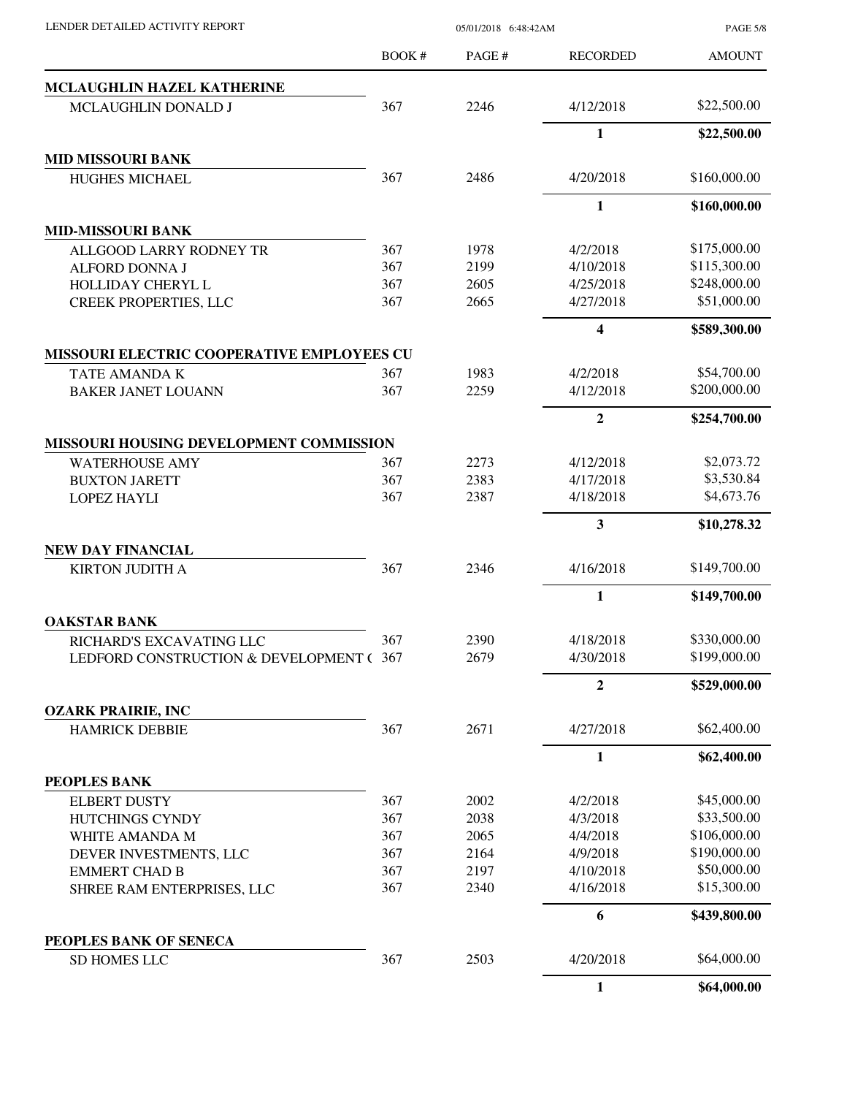PAGE 5/8

|                                            | <b>BOOK#</b> | PAGE# | <b>RECORDED</b>  | <b>AMOUNT</b> |
|--------------------------------------------|--------------|-------|------------------|---------------|
| MCLAUGHLIN HAZEL KATHERINE                 |              |       |                  |               |
| MCLAUGHLIN DONALD J                        | 367          | 2246  | 4/12/2018        | \$22,500.00   |
|                                            |              |       | 1                | \$22,500.00   |
| <b>MID MISSOURI BANK</b>                   |              |       |                  |               |
| <b>HUGHES MICHAEL</b>                      | 367          | 2486  | 4/20/2018        | \$160,000.00  |
|                                            |              |       | $\mathbf{1}$     | \$160,000.00  |
| <b>MID-MISSOURI BANK</b>                   |              |       |                  |               |
| ALLGOOD LARRY RODNEY TR                    | 367          | 1978  | 4/2/2018         | \$175,000.00  |
| ALFORD DONNA J                             | 367          | 2199  | 4/10/2018        | \$115,300.00  |
| HOLLIDAY CHERYL L                          | 367          | 2605  | 4/25/2018        | \$248,000.00  |
| <b>CREEK PROPERTIES, LLC</b>               | 367          | 2665  | 4/27/2018        | \$51,000.00   |
|                                            |              |       | 4                | \$589,300.00  |
| MISSOURI ELECTRIC COOPERATIVE EMPLOYEES CU |              |       |                  |               |
| TATE AMANDA K                              | 367          | 1983  | 4/2/2018         | \$54,700.00   |
| <b>BAKER JANET LOUANN</b>                  | 367          | 2259  | 4/12/2018        | \$200,000.00  |
|                                            |              |       | $\boldsymbol{2}$ | \$254,700.00  |
| MISSOURI HOUSING DEVELOPMENT COMMISSION    |              |       |                  |               |
| <b>WATERHOUSE AMY</b>                      | 367          | 2273  | 4/12/2018        | \$2,073.72    |
| <b>BUXTON JARETT</b>                       | 367          | 2383  | 4/17/2018        | \$3,530.84    |
| <b>LOPEZ HAYLI</b>                         | 367          | 2387  | 4/18/2018        | \$4,673.76    |
|                                            |              |       | 3                | \$10,278.32   |
| <b>NEW DAY FINANCIAL</b>                   |              |       |                  |               |
| <b>KIRTON JUDITH A</b>                     | 367          | 2346  | 4/16/2018        | \$149,700.00  |
|                                            |              |       | 1                | \$149,700.00  |
| <b>OAKSTAR BANK</b>                        |              |       |                  |               |
| RICHARD'S EXCAVATING LLC                   | 367          | 2390  | 4/18/2018        | \$330,000.00  |
| LEDFORD CONSTRUCTION & DEVELOPMENT ( 367   |              | 2679  | 4/30/2018        | \$199,000.00  |
|                                            |              |       | $\overline{2}$   | \$529,000.00  |
| <b>OZARK PRAIRIE, INC</b>                  |              |       |                  |               |
| <b>HAMRICK DEBBIE</b>                      | 367          | 2671  | 4/27/2018        | \$62,400.00   |
|                                            |              |       | 1                | \$62,400.00   |
| PEOPLES BANK                               |              |       |                  |               |
| <b>ELBERT DUSTY</b>                        | 367          | 2002  | 4/2/2018         | \$45,000.00   |
| HUTCHINGS CYNDY                            | 367          | 2038  | 4/3/2018         | \$33,500.00   |
| WHITE AMANDA M                             | 367          | 2065  | 4/4/2018         | \$106,000.00  |
| DEVER INVESTMENTS, LLC                     | 367          | 2164  | 4/9/2018         | \$190,000.00  |
| <b>EMMERT CHAD B</b>                       | 367          | 2197  | 4/10/2018        | \$50,000.00   |
| SHREE RAM ENTERPRISES, LLC                 | 367          | 2340  | 4/16/2018        | \$15,300.00   |
|                                            |              |       | 6                | \$439,800.00  |
| PEOPLES BANK OF SENECA                     |              |       |                  |               |
| <b>SD HOMES LLC</b>                        | 367          | 2503  | 4/20/2018        | \$64,000.00   |
|                                            |              |       | 1                | \$64,000.00   |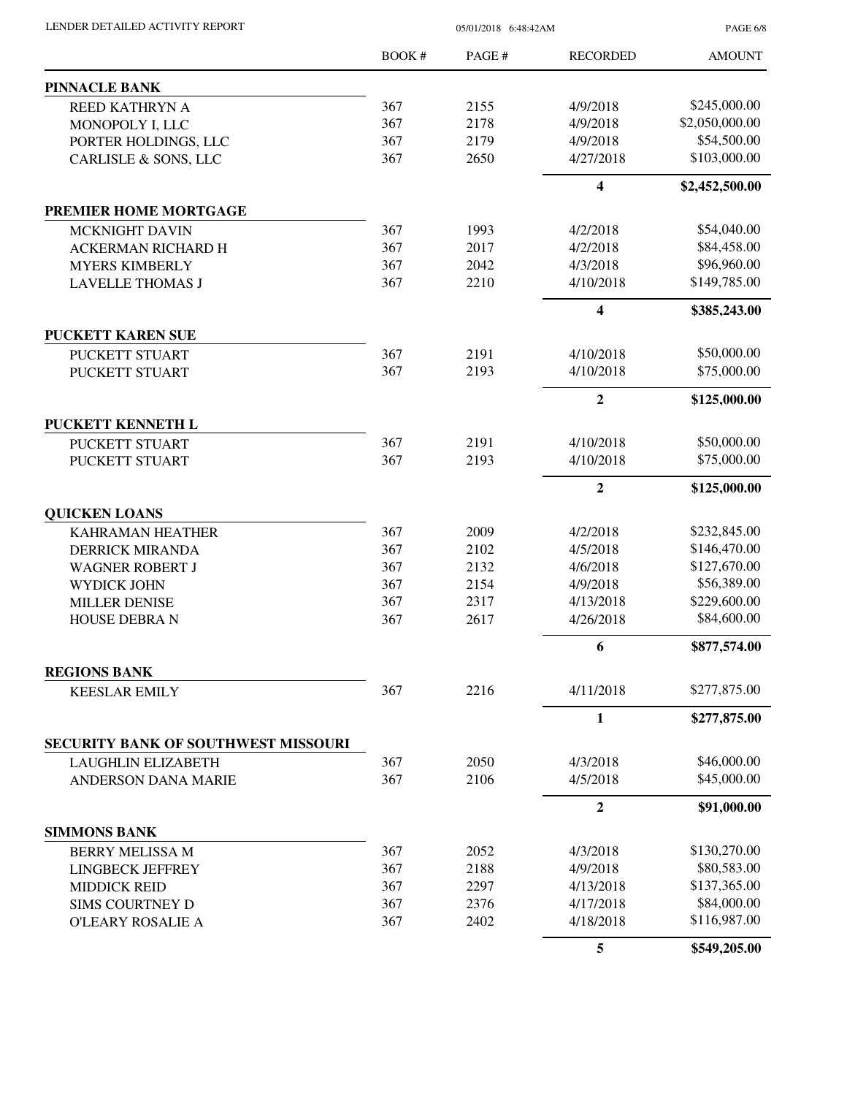| LENDER DETAILED ACTIVITY REPORT              |            | PAGE 6/8                        |                         |                             |
|----------------------------------------------|------------|---------------------------------|-------------------------|-----------------------------|
|                                              | BOOK #     | PAGE #                          | <b>RECORDED</b>         | <b>AMOUNT</b>               |
| <b>PINNACLE BANK</b>                         |            |                                 |                         |                             |
| REED KATHRYN A                               | 367        | 2155                            | 4/9/2018                | \$245,000.00                |
| MONOPOLY I, LLC                              | 367        | 2178                            | 4/9/2018                | \$2,050,000.00              |
| PORTER HOLDINGS, LLC                         | 367        | 2179                            | 4/9/2018                | \$54,500.00                 |
| CARLISLE & SONS, LLC                         | 367        | 2650                            | 4/27/2018               | \$103,000.00                |
|                                              |            |                                 | 4                       | \$2,452,500.00              |
| PREMIER HOME MORTGAGE                        |            |                                 |                         |                             |
| <b>MCKNIGHT DAVIN</b>                        | 367        | 1993                            | 4/2/2018                | \$54,040.00                 |
| <b>ACKERMAN RICHARD H</b>                    | 367        | 2017                            | 4/2/2018                | \$84,458.00                 |
| <b>MYERS KIMBERLY</b>                        | 367        | 2042                            | 4/3/2018                | \$96,960.00                 |
| <b>LAVELLE THOMAS J</b>                      | 367        | 2210                            | 4/10/2018               | \$149,785.00                |
|                                              |            |                                 | $\overline{\mathbf{4}}$ | \$385,243.00                |
| <b>PUCKETT KAREN SUE</b>                     |            |                                 |                         |                             |
| <b>PUCKETT STUART</b>                        | 367        | 2191                            | 4/10/2018               | \$50,000.00                 |
| PUCKETT STUART                               | 367        | 2193                            | 4/10/2018               | \$75,000.00                 |
|                                              |            |                                 | $\overline{2}$          | \$125,000.00                |
| PUCKETT KENNETH L                            |            |                                 |                         |                             |
| PUCKETT STUART                               | 367        | 2191                            | 4/10/2018               | \$50,000.00                 |
| PUCKETT STUART                               | 367        | 2193                            | 4/10/2018               | \$75,000.00                 |
|                                              |            |                                 | $\overline{2}$          | \$125,000.00                |
| <b>QUICKEN LOANS</b>                         |            |                                 |                         |                             |
| <b>KAHRAMAN HEATHER</b>                      | 367        | 2009                            | 4/2/2018                | \$232,845.00                |
| <b>DERRICK MIRANDA</b>                       | 367        | 2102                            | 4/5/2018                | \$146,470.00                |
| <b>WAGNER ROBERT J</b>                       | 367        | 2132                            | 4/6/2018                | \$127,670.00                |
| WYDICK JOHN                                  | 367        | 2154                            | 4/9/2018                | \$56,389.00                 |
| <b>MILLER DENISE</b><br><b>HOUSE DEBRA N</b> | 367<br>367 | 2317<br>2617                    | 4/13/2018<br>4/26/2018  | \$229,600.00<br>\$84,600.00 |
|                                              |            |                                 | 6                       | \$877,574.00                |
| <b>REGIONS BANK</b>                          |            |                                 |                         |                             |
| <b>KEESLAR EMILY</b>                         | 367        | 2216                            | 4/11/2018               | \$277,875.00                |
|                                              |            |                                 | 1                       | \$277,875.00                |
| SECURITY BANK OF SOUTHWEST MISSOURI          |            |                                 |                         |                             |
| <b>LAUGHLIN ELIZABETH</b>                    | 367        | 2050                            | 4/3/2018                | \$46,000.00                 |
| ANDERSON DANA MARIE                          | 367        | \$45,000.00<br>2106<br>4/5/2018 |                         |                             |
|                                              |            |                                 | $\mathbf{2}$            | \$91,000.00                 |
| <b>SIMMONS BANK</b>                          |            |                                 |                         |                             |
| <b>BERRY MELISSA M</b>                       | 367        | 2052                            | 4/3/2018                | \$130,270.00                |
| <b>LINGBECK JEFFREY</b>                      | 367        | 2188                            | 4/9/2018                | \$80,583.00                 |
| <b>MIDDICK REID</b>                          | 367        | 2297                            | 4/13/2018               | \$137,365.00                |
| <b>SIMS COURTNEY D</b>                       | 367        | 2376                            | 4/17/2018               | \$84,000.00                 |
| <b>O'LEARY ROSALIE A</b>                     | 367        | 2402                            | 4/18/2018               | \$116,987.00                |
|                                              |            |                                 | 5                       | \$549,205.00                |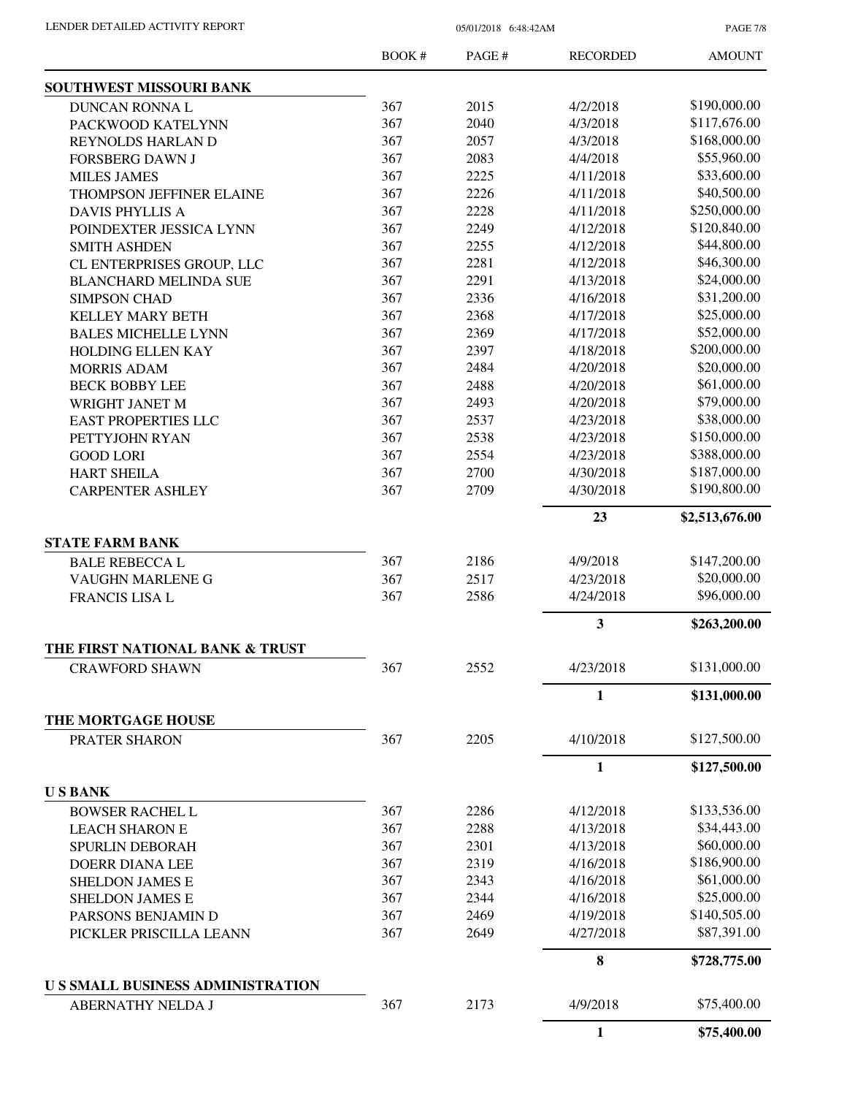PAGE 7/8

|                                                          | BOOK # | PAGE # | <b>RECORDED</b> | <b>AMOUNT</b>  |
|----------------------------------------------------------|--------|--------|-----------------|----------------|
| SOUTHWEST MISSOURI BANK                                  |        |        |                 |                |
| <b>DUNCAN RONNA L</b>                                    | 367    | 2015   | 4/2/2018        | \$190,000.00   |
| PACKWOOD KATELYNN                                        | 367    | 2040   | 4/3/2018        | \$117,676.00   |
| REYNOLDS HARLAN D                                        | 367    | 2057   | 4/3/2018        | \$168,000.00   |
| <b>FORSBERG DAWN J</b>                                   | 367    | 2083   | 4/4/2018        | \$55,960.00    |
| <b>MILES JAMES</b>                                       | 367    | 2225   | 4/11/2018       | \$33,600.00    |
| <b>THOMPSON JEFFINER ELAINE</b>                          | 367    | 2226   | 4/11/2018       | \$40,500.00    |
| <b>DAVIS PHYLLIS A</b>                                   | 367    | 2228   | 4/11/2018       | \$250,000.00   |
| POINDEXTER JESSICA LYNN                                  | 367    | 2249   | 4/12/2018       | \$120,840.00   |
| <b>SMITH ASHDEN</b>                                      | 367    | 2255   | 4/12/2018       | \$44,800.00    |
| CL ENTERPRISES GROUP, LLC                                | 367    | 2281   | 4/12/2018       | \$46,300.00    |
| <b>BLANCHARD MELINDA SUE</b>                             | 367    | 2291   | 4/13/2018       | \$24,000.00    |
| <b>SIMPSON CHAD</b>                                      | 367    | 2336   | 4/16/2018       | \$31,200.00    |
| <b>KELLEY MARY BETH</b>                                  | 367    | 2368   | 4/17/2018       | \$25,000.00    |
| <b>BALES MICHELLE LYNN</b>                               | 367    | 2369   | 4/17/2018       | \$52,000.00    |
| HOLDING ELLEN KAY                                        | 367    | 2397   | 4/18/2018       | \$200,000.00   |
| <b>MORRIS ADAM</b>                                       | 367    | 2484   | 4/20/2018       | \$20,000.00    |
| <b>BECK BOBBY LEE</b>                                    | 367    | 2488   | 4/20/2018       | \$61,000.00    |
| WRIGHT JANET M                                           | 367    | 2493   | 4/20/2018       | \$79,000.00    |
| <b>EAST PROPERTIES LLC</b>                               | 367    | 2537   | 4/23/2018       | \$38,000.00    |
| PETTYJOHN RYAN                                           | 367    | 2538   | 4/23/2018       | \$150,000.00   |
| <b>GOOD LORI</b>                                         | 367    | 2554   | 4/23/2018       | \$388,000.00   |
| <b>HART SHEILA</b>                                       | 367    | 2700   | 4/30/2018       | \$187,000.00   |
| <b>CARPENTER ASHLEY</b>                                  | 367    | 2709   | 4/30/2018       | \$190,800.00   |
|                                                          |        |        | 23              | \$2,513,676.00 |
| <b>STATE FARM BANK</b>                                   |        |        |                 |                |
| <b>BALE REBECCA L</b>                                    | 367    | 2186   | 4/9/2018        | \$147,200.00   |
| VAUGHN MARLENE G                                         | 367    | 2517   | 4/23/2018       | \$20,000.00    |
| FRANCIS LISA L                                           | 367    | 2586   | 4/24/2018       | \$96,000.00    |
|                                                          |        |        |                 |                |
|                                                          |        |        | 3               | \$263,200.00   |
| THE FIRST NATIONAL BANK & TRUST<br><b>CRAWFORD SHAWN</b> | 367    | 2552   | 4/23/2018       | \$131,000.00   |
|                                                          |        |        | $\mathbf{1}$    | \$131,000.00   |
| THE MORTGAGE HOUSE                                       |        |        |                 |                |
| PRATER SHARON                                            | 367    | 2205   | 4/10/2018       | \$127,500.00   |
|                                                          |        |        | 1               | \$127,500.00   |
| <b>USBANK</b>                                            |        |        |                 |                |
| <b>BOWSER RACHEL L</b>                                   | 367    | 2286   | 4/12/2018       | \$133,536.00   |
| <b>LEACH SHARON E</b>                                    | 367    | 2288   | 4/13/2018       | \$34,443.00    |
| <b>SPURLIN DEBORAH</b>                                   | 367    | 2301   | 4/13/2018       | \$60,000.00    |
| <b>DOERR DIANA LEE</b>                                   | 367    | 2319   | 4/16/2018       | \$186,900.00   |
| <b>SHELDON JAMES E</b>                                   | 367    | 2343   | 4/16/2018       | \$61,000.00    |
| <b>SHELDON JAMES E</b>                                   | 367    | 2344   | 4/16/2018       | \$25,000.00    |
| PARSONS BENJAMIN D                                       | 367    | 2469   | 4/19/2018       | \$140,505.00   |
| PICKLER PRISCILLA LEANN                                  | 367    | 2649   | 4/27/2018       | \$87,391.00    |
|                                                          |        |        | $\bf{8}$        | \$728,775.00   |
| <b>US SMALL BUSINESS ADMINISTRATION</b>                  |        |        |                 |                |
| ABERNATHY NELDA J                                        | 367    | 2173   | 4/9/2018        | \$75,400.00    |
|                                                          |        |        | $\mathbf{1}$    | \$75,400.00    |